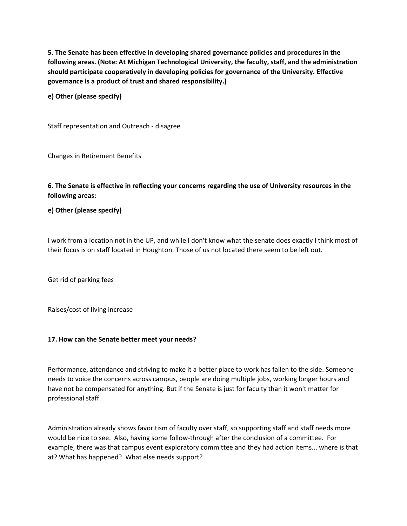**5. The Senate has been effective in developing shared governance policies and procedures in the following areas. (Note: At Michigan Technological University, the faculty, staff, and the administration should participate cooperatively in developing policies for governance of the University. Effective governance is a product of trust and shared responsibility.)**

**e) Other (please specify)**

Staff representation and Outreach - disagree

Changes in Retirement Benefits

**6. The Senate is effective in reflecting your concerns regarding the use of University resources in the following areas:**

**e) Other (please specify)**

I work from a location not in the UP, and while I don't know what the senate does exactly I think most of their focus is on staff located in Houghton. Those of us not located there seem to be left out.

Get rid of parking fees

Raises/cost of living increase

## **17. How can the Senate better meet your needs?**

Performance, attendance and striving to make it a better place to work has fallen to the side. Someone needs to voice the concerns across campus, people are doing multiple jobs, working longer hours and have not be compensated for anything. But if the Senate is just for faculty than it won't matter for professional staff.

Administration already shows favoritism of faculty over staff, so supporting staff and staff needs more would be nice to see. Also, having some follow-through after the conclusion of a committee. For example, there was that campus event exploratory committee and they had action items... where is that at? What has happened? What else needs support?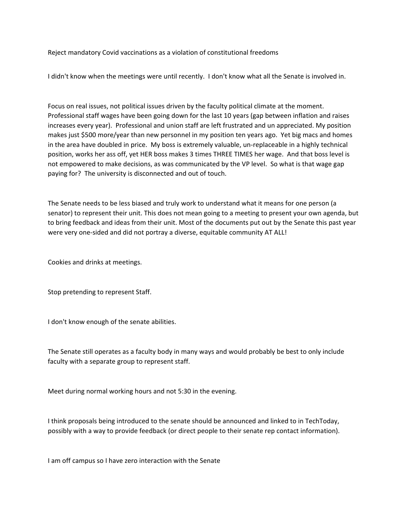Reject mandatory Covid vaccinations as a violation of constitutional freedoms

I didn't know when the meetings were until recently. I don't know what all the Senate is involved in.

Focus on real issues, not political issues driven by the faculty political climate at the moment. Professional staff wages have been going down for the last 10 years (gap between inflation and raises increases every year). Professional and union staff are left frustrated and un appreciated. My position makes just \$500 more/year than new personnel in my position ten years ago. Yet big macs and homes in the area have doubled in price. My boss is extremely valuable, un-replaceable in a highly technical position, works her ass off, yet HER boss makes 3 times THREE TIMES her wage. And that boss level is not empowered to make decisions, as was communicated by the VP level. So what is that wage gap paying for? The university is disconnected and out of touch.

The Senate needs to be less biased and truly work to understand what it means for one person (a senator) to represent their unit. This does not mean going to a meeting to present your own agenda, but to bring feedback and ideas from their unit. Most of the documents put out by the Senate this past year were very one-sided and did not portray a diverse, equitable community AT ALL!

Cookies and drinks at meetings.

Stop pretending to represent Staff.

I don't know enough of the senate abilities.

The Senate still operates as a faculty body in many ways and would probably be best to only include faculty with a separate group to represent staff.

Meet during normal working hours and not 5:30 in the evening.

I think proposals being introduced to the senate should be announced and linked to in TechToday, possibly with a way to provide feedback (or direct people to their senate rep contact information).

I am off campus so I have zero interaction with the Senate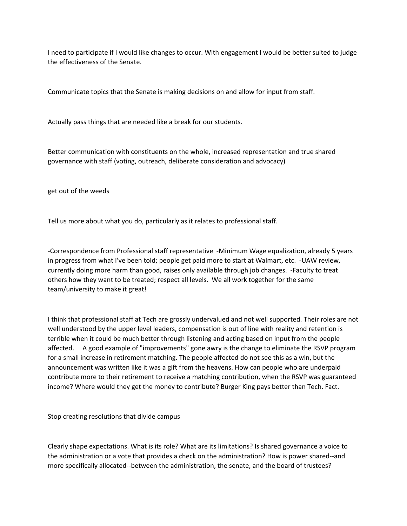I need to participate if I would like changes to occur. With engagement I would be better suited to judge the effectiveness of the Senate.

Communicate topics that the Senate is making decisions on and allow for input from staff.

Actually pass things that are needed like a break for our students.

Better communication with constituents on the whole, increased representation and true shared governance with staff (voting, outreach, deliberate consideration and advocacy)

get out of the weeds

Tell us more about what you do, particularly as it relates to professional staff.

-Correspondence from Professional staff representative -Minimum Wage equalization, already 5 years in progress from what I've been told; people get paid more to start at Walmart, etc. -UAW review, currently doing more harm than good, raises only available through job changes. -Faculty to treat others how they want to be treated; respect all levels. We all work together for the same team/university to make it great!

I think that professional staff at Tech are grossly undervalued and not well supported. Their roles are not well understood by the upper level leaders, compensation is out of line with reality and retention is terrible when it could be much better through listening and acting based on input from the people affected. A good example of "improvements" gone awry is the change to eliminate the RSVP program for a small increase in retirement matching. The people affected do not see this as a win, but the announcement was written like it was a gift from the heavens. How can people who are underpaid contribute more to their retirement to receive a matching contribution, when the RSVP was guaranteed income? Where would they get the money to contribute? Burger King pays better than Tech. Fact.

Stop creating resolutions that divide campus

Clearly shape expectations. What is its role? What are its limitations? Is shared governance a voice to the administration or a vote that provides a check on the administration? How is power shared--and more specifically allocated--between the administration, the senate, and the board of trustees?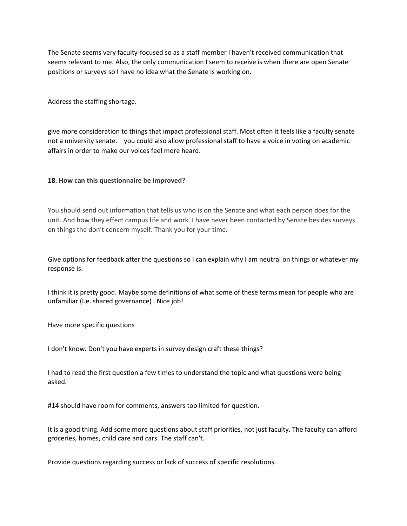The Senate seems very faculty-focused so as a staff member I haven't received communication that seems relevant to me. Also, the only communication I seem to receive is when there are open Senate positions or surveys so I have no idea what the Senate is working on.

Address the staffing shortage.

give more consideration to things that impact professional staff. Most often it feels like a faculty senate not a university senate. you could also allow professional staff to have a voice in voting on academic affairs in order to make our voices feel more heard.

## **18. How can this questionnaire be improved?**

You should send out information that tells us who is on the Senate and what each person does for the unit. And how they effect campus life and work. I have never been contacted by Senate besides surveys on things the don't concern myself. Thank you for your time.

Give options for feedback after the questions so I can explain why I am neutral on things or whatever my response is.

I think it is pretty good. Maybe some definitions of what some of these terms mean for people who are unfamiliar (I.e. shared governance) . Nice job!

Have more specific questions

I don't know. Don't you have experts in survey design craft these things?

I had to read the first question a few times to understand the topic and what questions were being asked.

#14 should have room for comments, answers too limited for question.

It is a good thing. Add some more questions about staff priorities, not just faculty. The faculty can afford groceries, homes, child care and cars. The staff can't.

Provide questions regarding success or lack of success of specific resolutions.